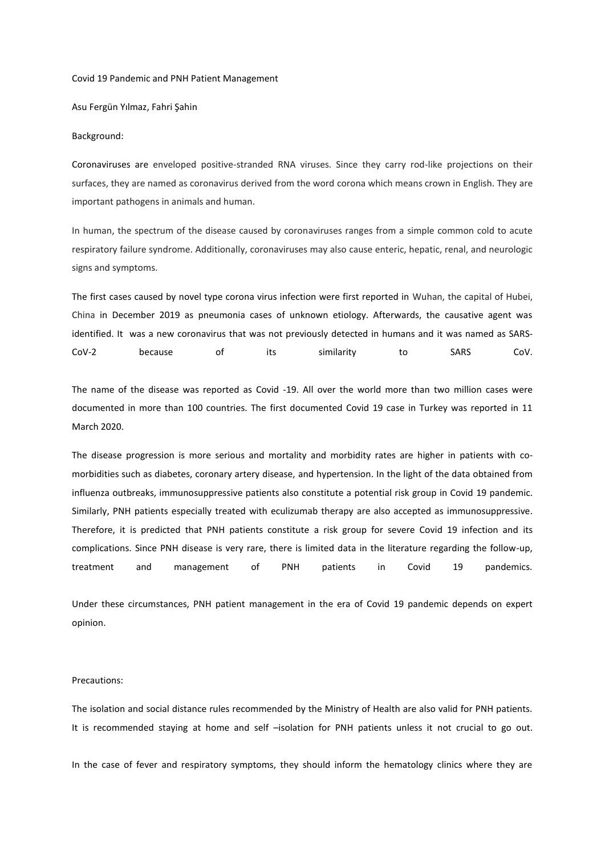### Covid 19 Pandemic and PNH Patient Management

Asu Fergün Yılmaz, Fahri Şahin

#### Background:

Coronaviruses are enveloped positive-stranded RNA viruses. Since they carry rod-like projections on their surfaces, they are named as coronavirus derived from the word corona which means crown in English. They are important pathogens in animals and human.

In human, the spectrum of the disease caused by coronaviruses ranges from a simple common cold to acute respiratory failure syndrome. Additionally, coronaviruses may also cause enteric, hepatic, renal, and neurologic signs and symptoms.

The first cases caused by novel type corona virus infection were first reported in Wuhan, the capital of Hubei, China in December 2019 as pneumonia cases of unknown etiology. Afterwards, the causative agent was identified. It was a new coronavirus that was not previously detected in humans and it was named as SARS-CoV-2 because of its similarity to SARS CoV.

The name of the disease was reported as Covid -19. All over the world more than two million cases were documented in more than 100 countries. The first documented Covid 19 case in Turkey was reported in 11 March 2020.

The disease progression is more serious and mortality and morbidity rates are higher in patients with comorbidities such as diabetes, coronary artery disease, and hypertension. In the light of the data obtained from influenza outbreaks, immunosuppressive patients also constitute a potential risk group in Covid 19 pandemic. Similarly, PNH patients especially treated with eculizumab therapy are also accepted as immunosuppressive. Therefore, it is predicted that PNH patients constitute a risk group for severe Covid 19 infection and its complications. Since PNH disease is very rare, there is limited data in the literature regarding the follow-up, treatment and management of PNH patients in Covid 19 pandemics.

Under these circumstances, PNH patient management in the era of Covid 19 pandemic depends on expert opinion.

### Precautions:

The isolation and social distance rules recommended by the Ministry of Health are also valid for PNH patients. It is recommended staying at home and self –isolation for PNH patients unless it not crucial to go out.

In the case of fever and respiratory symptoms, they should inform the hematology clinics where they are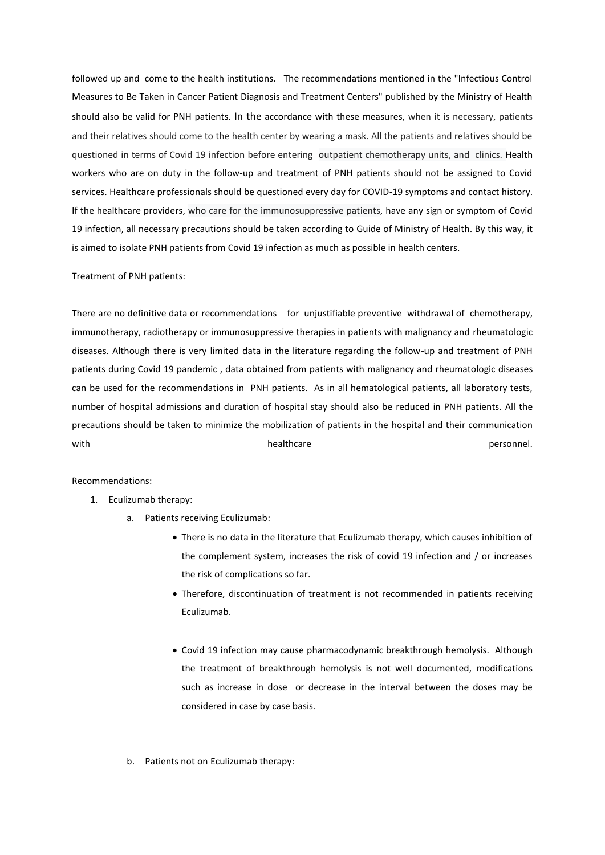followed up and come to the health institutions. The recommendations mentioned in the "Infectious Control Measures to Be Taken in Cancer Patient Diagnosis and Treatment Centers" published by the Ministry of Health should also be valid for PNH patients. In the accordance with these measures, when it is necessary, patients and their relatives should come to the health center by wearing a mask. All the patients and relatives should be questioned in terms of Covid 19 infection before entering outpatient chemotherapy units, and clinics. Health workers who are on duty in the follow-up and treatment of PNH patients should not be assigned to Covid services. Healthcare professionals should be questioned every day for COVID-19 symptoms and contact history. If the healthcare providers, who care for the immunosuppressive patients, have any sign or symptom of Covid 19 infection, all necessary precautions should be taken according to Guide of Ministry of Health. By this way, it is aimed to isolate PNH patients from Covid 19 infection as much as possible in health centers.

## Treatment of PNH patients:

There are no definitive data or recommendations for unjustifiable preventive withdrawal of chemotherapy, immunotherapy, radiotherapy or immunosuppressive therapies in patients with malignancy and rheumatologic diseases. Although there is very limited data in the literature regarding the follow-up and treatment of PNH patients during Covid 19 pandemic , data obtained from patients with malignancy and rheumatologic diseases can be used for the recommendations in PNH patients. As in all hematological patients, all laboratory tests, number of hospital admissions and duration of hospital stay should also be reduced in PNH patients. All the precautions should be taken to minimize the mobilization of patients in the hospital and their communication with healthcare the experiment of the beach of the beam of the personnel.

### Recommendations:

- 1. Eculizumab therapy:
	- a. Patients receiving Eculizumab:
		- There is no data in the literature that Eculizumab therapy, which causes inhibition of the complement system, increases the risk of covid 19 infection and / or increases the risk of complications so far.
		- Therefore, discontinuation of treatment is not recommended in patients receiving Eculizumab.
		- Covid 19 infection may cause pharmacodynamic breakthrough hemolysis. Although the treatment of breakthrough hemolysis is not well documented, modifications such as increase in dose or decrease in the interval between the doses may be considered in case by case basis.
	- b. Patients not on Eculizumab therapy: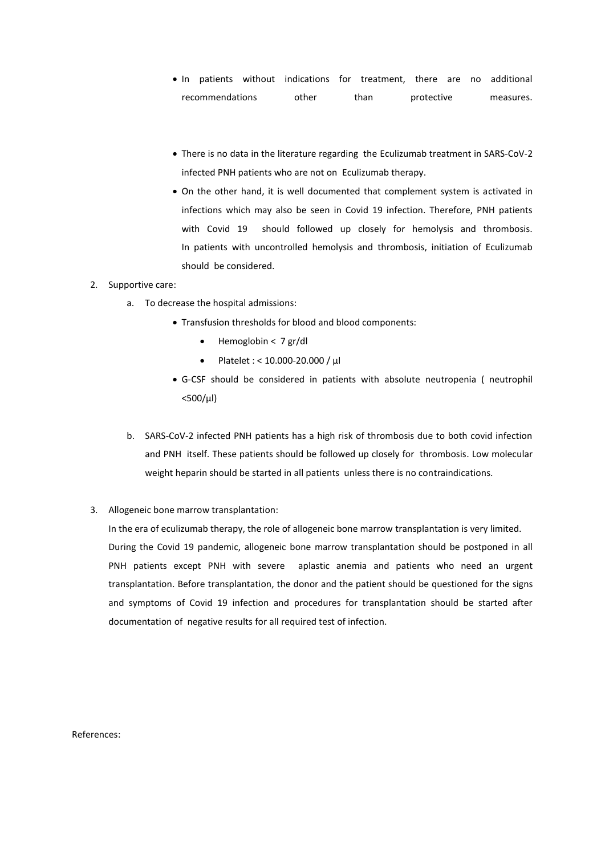- In patients without indications for treatment, there are no additional recommendations other than protective measures.
- There is no data in the literature regarding the Eculizumab treatment in SARS-CoV-2 infected PNH patients who are not on Eculizumab therapy.
- On the other hand, it is well documented that complement system is activated in infections which may also be seen in Covid 19 infection. Therefore, PNH patients with Covid 19 should followed up closely for hemolysis and thrombosis. In patients with uncontrolled hemolysis and thrombosis, initiation of Eculizumab should be considered.

# 2. Supportive care:

- a. To decrease the hospital admissions:
	- Transfusion thresholds for blood and blood components:
		- Hemoglobin < 7 gr/dl
		- Platelet : < 10.000-20.000 / µl
	- G-CSF should be considered in patients with absolute neutropenia ( neutrophil  $<$ 500/ $\mu$ l)
- b. SARS-CoV-2 infected PNH patients has a high risk of thrombosis due to both covid infection and PNH itself. These patients should be followed up closely for thrombosis. Low molecular weight heparin should be started in all patients unless there is no contraindications.
- 3. Allogeneic bone marrow transplantation:

In the era of eculizumab therapy, the role of allogeneic bone marrow transplantation is very limited. During the Covid 19 pandemic, allogeneic bone marrow transplantation should be postponed in all PNH patients except PNH with severe aplastic anemia and patients who need an urgent transplantation. Before transplantation, the donor and the patient should be questioned for the signs and symptoms of Covid 19 infection and procedures for transplantation should be started after documentation of negative results for all required test of infection.

References: